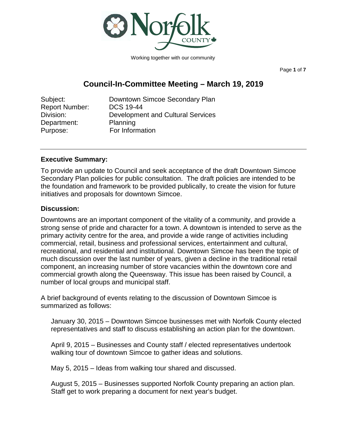

Working together with our community

Page **1** of **7**

# **Council-In-Committee Meeting – March 19, 2019**

| Subject:              | Downtown Simcoe Secondary Plan           |
|-----------------------|------------------------------------------|
| <b>Report Number:</b> | <b>DCS 19-44</b>                         |
| Division:             | <b>Development and Cultural Services</b> |
| Department:           | Planning                                 |
| Purpose:              | For Information                          |

#### **Executive Summary:**

To provide an update to Council and seek acceptance of the draft Downtown Simcoe Secondary Plan policies for public consultation. The draft policies are intended to be the foundation and framework to be provided publically, to create the vision for future initiatives and proposals for downtown Simcoe.

#### **Discussion:**

Downtowns are an important component of the vitality of a community, and provide a strong sense of pride and character for a town. A downtown is intended to serve as the primary activity centre for the area, and provide a wide range of activities including commercial, retail, business and professional services, entertainment and cultural, recreational, and residential and institutional. Downtown Simcoe has been the topic of much discussion over the last number of years, given a decline in the traditional retail component, an increasing number of store vacancies within the downtown core and commercial growth along the Queensway. This issue has been raised by Council, a number of local groups and municipal staff.

A brief background of events relating to the discussion of Downtown Simcoe is summarized as follows:

January 30, 2015 – Downtown Simcoe businesses met with Norfolk County elected representatives and staff to discuss establishing an action plan for the downtown.

April 9, 2015 – Businesses and County staff / elected representatives undertook walking tour of downtown Simcoe to gather ideas and solutions.

May 5, 2015 – Ideas from walking tour shared and discussed.

August 5, 2015 – Businesses supported Norfolk County preparing an action plan. Staff get to work preparing a document for next year's budget.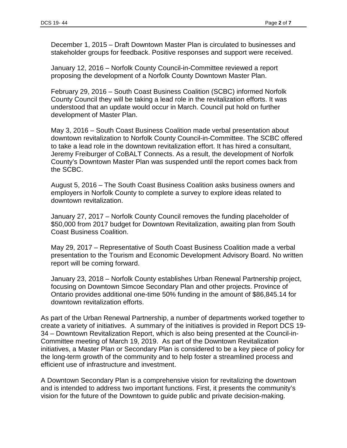December 1, 2015 – Draft Downtown Master Plan is circulated to businesses and stakeholder groups for feedback. Positive responses and support were received.

January 12, 2016 – Norfolk County Council-in-Committee reviewed a report proposing the [development of a Norfolk County Downtown Master Plan.](https://norfolk.civicweb.net/FileStorage/5832F161E9814CDC8D8CD823346AAE24-DCS%2016-01.pdf)

February 29, 2016 – South Coast Business Coalition (SCBC) informed Norfolk County Council they will be taking a lead role in the revitalization efforts. It was understood that an update would occur in March. Council put hold on further development of Master Plan.

May 3, 2016 – South Coast Business Coalition made verbal presentation about downtown revitalization to Norfolk County Council-in-Committee. The SCBC offered to take a lead role in the downtown revitalization effort. It has hired a consultant, Jeremy Freiburger of CoBALT Connects. As a result, the development of Norfolk County's Downtown Master Plan was suspended until the report comes back from the SCBC.

August 5, 2016 – The South Coast Business Coalition asks business owners and employers in Norfolk County to complete a survey to explore ideas related to downtown revitalization.

January 27, 2017 – Norfolk County Council removes the funding placeholder of \$50,000 from 2017 budget for Downtown Revitalization, awaiting plan from South Coast Business Coalition.

May 29, 2017 – Representative of South Coast Business Coalition made a verbal presentation to the Tourism and Economic Development Advisory Board. No written report will be coming forward.

January 23, 2018 – Norfolk County establishes Urban Renewal Partnership project, focusing on Downtown Simcoe Secondary Plan and other projects. Province of Ontario provides additional one-time 50% funding in the amount of \$86,845.14 for downtown revitalization efforts.

As part of the Urban Renewal Partnership, a number of departments worked together to create a variety of initiatives. A summary of the initiatives is provided in Report DCS 19- 34 – Downtown Revitalization Report, which is also being presented at the Council-in-Committee meeting of March 19, 2019. As part of the Downtown Revitalization initiatives, a Master Plan or Secondary Plan is considered to be a key piece of policy for the long-term growth of the community and to help foster a streamlined process and efficient use of infrastructure and investment.

A Downtown Secondary Plan is a comprehensive vision for revitalizing the downtown and is intended to address two important functions. First, it presents the community's vision for the future of the Downtown to guide public and private decision-making.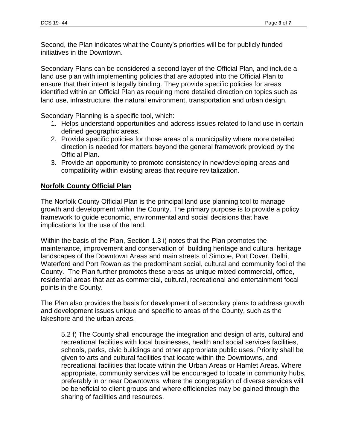Second, the Plan indicates what the County's priorities will be for publicly funded initiatives in the Downtown.

Secondary Plans can be considered a second layer of the [Official Plan,](https://www.hamilton.ca/city-planning/official-plan-zoning-by-law/official-plan) and include a land use plan with implementing policies that are adopted into the Official Plan to ensure that their intent is legally binding. They provide specific policies for areas identified within an Official Plan as requiring more detailed direction on topics such as land use, infrastructure, the natural environment, transportation and urban design.

Secondary Planning is a specific tool, which:

- 1. Helps understand opportunities and address issues related to land use in certain defined geographic areas.
- 2. Provide specific policies for those areas of a municipality where more detailed direction is needed for matters beyond the general framework provided by the Official Plan.
- 3. Provide an opportunity to promote consistency in new/developing areas and compatibility within existing areas that require revitalization.

# **Norfolk County Official Plan**

The Norfolk County Official Plan is the principal land use planning tool to manage growth and development within the County. The primary purpose is to provide a policy framework to guide economic, environmental and social decisions that have implications for the use of the land.

Within the basis of the Plan, Section 1.3 i) notes that the Plan promotes the maintenance, improvement and conservation of building heritage and cultural heritage landscapes of the Downtown Areas and main streets of Simcoe, Port Dover, Delhi, Waterford and Port Rowan as the predominant social, cultural and community foci of the County. The Plan further promotes these areas as unique mixed commercial, office, residential areas that act as commercial, cultural, recreational and entertainment focal points in the County.

The Plan also provides the basis for development of secondary plans to address growth and development issues unique and specific to areas of the County, such as the lakeshore and the urban areas.

5.2 f) The County shall encourage the integration and design of arts, cultural and recreational facilities with local businesses, health and social services facilities, schools, parks, civic buildings and other appropriate public uses. Priority shall be given to arts and cultural facilities that locate within the Downtowns, and recreational facilities that locate within the Urban Areas or Hamlet Areas. Where appropriate, community services will be encouraged to locate in community hubs, preferably in or near Downtowns, where the congregation of diverse services will be beneficial to client groups and where efficiencies may be gained through the sharing of facilities and resources.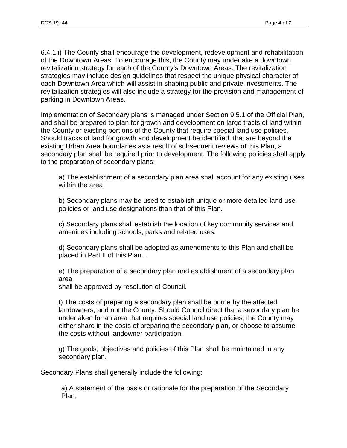6.4.1 i) The County shall encourage the development, redevelopment and rehabilitation of the Downtown Areas. To encourage this, the County may undertake a downtown revitalization strategy for each of the County's Downtown Areas. The revitalization strategies may include design guidelines that respect the unique physical character of each Downtown Area which will assist in shaping public and private investments. The revitalization strategies will also include a strategy for the provision and management of parking in Downtown Areas.

Implementation of Secondary plans is managed under Section 9.5.1 of the Official Plan, and shall be prepared to plan for growth and development on large tracts of land within the County or existing portions of the County that require special land use policies. Should tracks of land for growth and development be identified, that are beyond the existing Urban Area boundaries as a result of subsequent reviews of this Plan, a secondary plan shall be required prior to development. The following policies shall apply to the preparation of secondary plans:

a) The establishment of a secondary plan area shall account for any existing uses within the area.

b) Secondary plans may be used to establish unique or more detailed land use policies or land use designations than that of this Plan.

c) Secondary plans shall establish the location of key community services and amenities including schools, parks and related uses.

d) Secondary plans shall be adopted as amendments to this Plan and shall be placed in Part II of this Plan. .

e) The preparation of a secondary plan and establishment of a secondary plan area

shall be approved by resolution of Council.

f) The costs of preparing a secondary plan shall be borne by the affected landowners, and not the County. Should Council direct that a secondary plan be undertaken for an area that requires special land use policies, the County may either share in the costs of preparing the secondary plan, or choose to assume the costs without landowner participation.

g) The goals, objectives and policies of this Plan shall be maintained in any secondary plan.

Secondary Plans shall generally include the following:

a) A statement of the basis or rationale for the preparation of the Secondary Plan;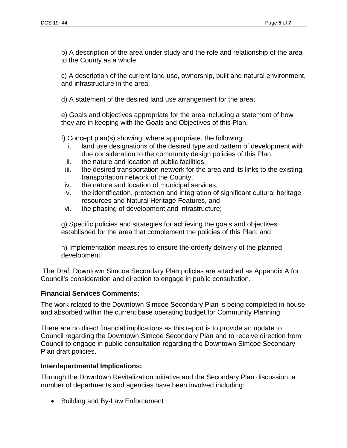b) A description of the area under study and the role and relationship of the area to the County as a whole;

c) A description of the current land use, ownership, built and natural environment, and infrastructure in the area;

d) A statement of the desired land use arrangement for the area;

e) Goals and objectives appropriate for the area including a statement of how they are in keeping with the Goals and Objectives of this Plan;

f) Concept plan(s) showing, where appropriate, the following:

- i. land use designations of the desired type and pattern of development with due consideration to the community design policies of this Plan,
- ii. the nature and location of public facilities,
- iii. the desired transportation network for the area and its links to the existing transportation network of the County,
- iv. the nature and location of municipal services,
- v. the identification, protection and integration of significant cultural heritage resources and Natural Heritage Features, and
- vi. the phasing of development and infrastructure;

g) Specific policies and strategies for achieving the goals and objectives established for the area that complement the policies of this Plan; and

h) Implementation measures to ensure the orderly delivery of the planned development.

The Draft Downtown Simcoe Secondary Plan policies are attached as Appendix A for Council's consideration and direction to engage in public consultation.

# **Financial Services Comments:**

The work related to the Downtown Simcoe Secondary Plan is being completed in-house and absorbed within the current base operating budget for Community Planning.

There are no direct financial implications as this report is to provide an update to Council regarding the Downtown Simcoe Secondary Plan and to receive direction from Council to engage in public consultation regarding the Downtown Simcoe Secondary Plan draft policies.

### **Interdepartmental Implications:**

Through the Downtown Revitalization initiative and the Secondary Plan discussion, a number of departments and agencies have been involved including:

• Building and By-Law Enforcement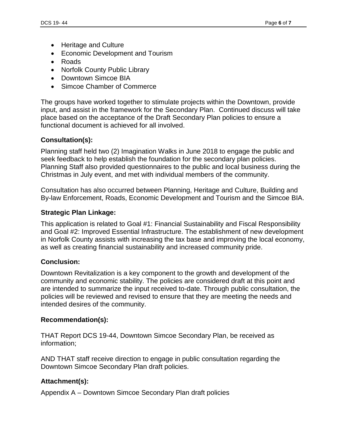- Heritage and Culture
- Economic Development and Tourism
- Roads
- Norfolk County Public Library
- Downtown Simcoe BIA
- Simcoe Chamber of Commerce

The groups have worked together to stimulate projects within the Downtown, provide input, and assist in the framework for the Secondary Plan. Continued discuss will take place based on the acceptance of the Draft Secondary Plan policies to ensure a functional document is achieved for all involved.

# **Consultation(s):**

Planning staff held two (2) Imagination Walks in June 2018 to engage the public and seek feedback to help establish the foundation for the secondary plan policies. Planning Staff also provided questionnaires to the public and local business during the Christmas in July event, and met with individual members of the community.

Consultation has also occurred between Planning, Heritage and Culture, Building and By-law Enforcement, Roads, Economic Development and Tourism and the Simcoe BIA.

### **Strategic Plan Linkage:**

This application is related to Goal #1: Financial Sustainability and Fiscal Responsibility and Goal #2: Improved Essential Infrastructure. The establishment of new development in Norfolk County assists with increasing the tax base and improving the local economy, as well as creating financial sustainability and increased community pride.

### **Conclusion:**

Downtown Revitalization is a key component to the growth and development of the community and economic stability. The policies are considered draft at this point and are intended to summarize the input received to-date. Through public consultation, the policies will be reviewed and revised to ensure that they are meeting the needs and intended desires of the community.

### **Recommendation(s):**

THAT Report DCS 19-44, Downtown Simcoe Secondary Plan, be received as information;

AND THAT staff receive direction to engage in public consultation regarding the Downtown Simcoe Secondary Plan draft policies.

# **Attachment(s):**

Appendix A – Downtown Simcoe Secondary Plan draft policies